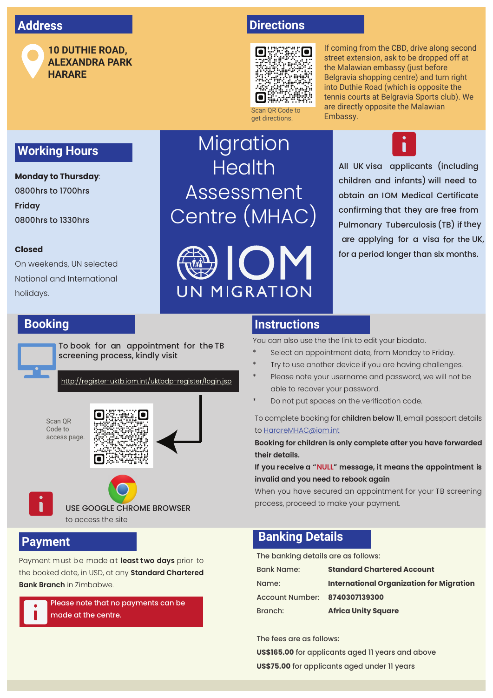## **Address**



**10 DUTHIE ROAD, ALEXANDRA PARK HARARE**

## **Directions**



get directions.

If coming from the CBD, drive along second street extension, ask to be dropped off at the Malawian embassy (just before Belgravia shopping centre) and turn right into Duthie Road (which is opposite the tennis courts at Belgravia Sports club). We are directly opposite the Malawian Embassy.

**Working Hours**

#### **Monday to Thursday**: 0800hrs to 1700hrs **Friday** 0800hrs to 1330hrs

#### **Closed**

On weekends, UN selected National and International holidays.

# Migration **Health** Assessment Centre (MHAC)



All UK visa applicants (including children and infants) will need to obtain an IOM Medical Certificate confirming that they are free from Pulmonary Tuberculosis (TB) if they are applying for a visa for the UK, for a period longer than six months.

### **Booking**



To book for an appointment for the TB screening process, kindly visit

http://register-uktb.iom.int/uktbdp-register/login.jsp

Scan QR Code to access page.





#### **Payment**

Payment must be made at **least two days** prior to the booked date, in USD, at any **Standard Chartered Bank Branch** in Zimbabwe.



#### **Instructions**

You can also use the the link to edit your biodata.

- Select an appointment date, from Monday to Friday.
- Try to use another device if you are having challenges.
- Please note your username and password, we will not be able to recover your password.
- Do not put spaces on the verification code.

To complete booking for children below 11, email passport details to [HarareMHAC@iom.int](mailto:HarareMHAC%40iom.int?subject=Migration%20Health%20Assessment%20Booking)

**Booking for children is only complete after you have forwarded their details.** 

**If you receive a "NULL" message, it means the appointment is invalid and you need to rebook again**

When you have secured an appointment for your TB screening process, proceed to make your payment.

### **Banking Details**

The banking details are as follows:

| <b>Bank Name:</b>             | <b>Standard Chartered Account</b>               |
|-------------------------------|-------------------------------------------------|
| Name:                         | <b>International Organization for Migration</b> |
| Account Number: 8740307139300 |                                                 |
| Branch:                       | <b>Africa Unity Square</b>                      |

The fees are as follows:

**US\$165.00** for applicants aged 11 years and above **US\$75.00** for applicants aged under 11 years